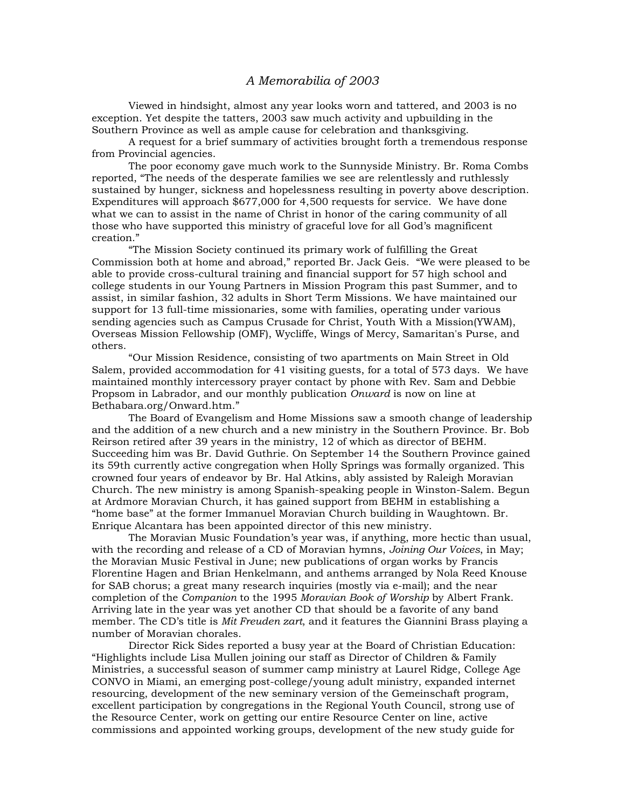## *A Memorabilia of 2003*

 Viewed in hindsight, almost any year looks worn and tattered, and 2003 is no exception. Yet despite the tatters, 2003 saw much activity and upbuilding in the Southern Province as well as ample cause for celebration and thanksgiving.

 A request for a brief summary of activities brought forth a tremendous response from Provincial agencies.

 The poor economy gave much work to the Sunnyside Ministry. Br. Roma Combs reported, "The needs of the desperate families we see are relentlessly and ruthlessly sustained by hunger, sickness and hopelessness resulting in poverty above description. Expenditures will approach \$677,000 for 4,500 requests for service. We have done what we can to assist in the name of Christ in honor of the caring community of all those who have supported this ministry of graceful love for all God's magnificent creation."

"The Mission Society continued its primary work of fulfilling the Great Commission both at home and abroad," reported Br. Jack Geis. "We were pleased to be able to provide cross-cultural training and financial support for 57 high school and college students in our Young Partners in Mission Program this past Summer, and to assist, in similar fashion, 32 adults in Short Term Missions. We have maintained our support for 13 full-time missionaries, some with families, operating under various sending agencies such as Campus Crusade for Christ, Youth With a Mission(YWAM), Overseas Mission Fellowship (OMF), Wycliffe, Wings of Mercy, Samaritan's Purse, and others.

"Our Mission Residence, consisting of two apartments on Main Street in Old Salem, provided accommodation for 41 visiting guests, for a total of 573 days. We have maintained monthly intercessory prayer contact by phone with Rev. Sam and Debbie Propsom in Labrador, and our monthly publication *Onward* is now on line at Bethabara.org/Onward.htm."

The Board of Evangelism and Home Missions saw a smooth change of leadership and the addition of a new church and a new ministry in the Southern Province. Br. Bob Reirson retired after 39 years in the ministry, 12 of which as director of BEHM. Succeeding him was Br. David Guthrie. On September 14 the Southern Province gained its 59th currently active congregation when Holly Springs was formally organized. This crowned four years of endeavor by Br. Hal Atkins, ably assisted by Raleigh Moravian Church. The new ministry is among Spanish-speaking people in Winston-Salem. Begun at Ardmore Moravian Church, it has gained support from BEHM in establishing a "home base" at the former Immanuel Moravian Church building in Waughtown. Br. Enrique Alcantara has been appointed director of this new ministry.

The Moravian Music Foundation's year was, if anything, more hectic than usual, with the recording and release of a CD of Moravian hymns, *Joining Our Voices*, in May; the Moravian Music Festival in June; new publications of organ works by Francis Florentine Hagen and Brian Henkelmann, and anthems arranged by Nola Reed Knouse for SAB chorus; a great many research inquiries (mostly via e-mail); and the near completion of the *Companion* to the 1995 *Moravian Book of Worship* by Albert Frank. Arriving late in the year was yet another CD that should be a favorite of any band member. The CD's title is *Mit Freuden zart*, and it features the Giannini Brass playing a number of Moravian chorales.

Director Rick Sides reported a busy year at the Board of Christian Education: "Highlights include Lisa Mullen joining our staff as Director of Children & Family Ministries, a successful season of summer camp ministry at Laurel Ridge, College Age CONVO in Miami, an emerging post-college/young adult ministry, expanded internet resourcing, development of the new seminary version of the Gemeinschaft program, excellent participation by congregations in the Regional Youth Council, strong use of the Resource Center, work on getting our entire Resource Center on line, active commissions and appointed working groups, development of the new study guide for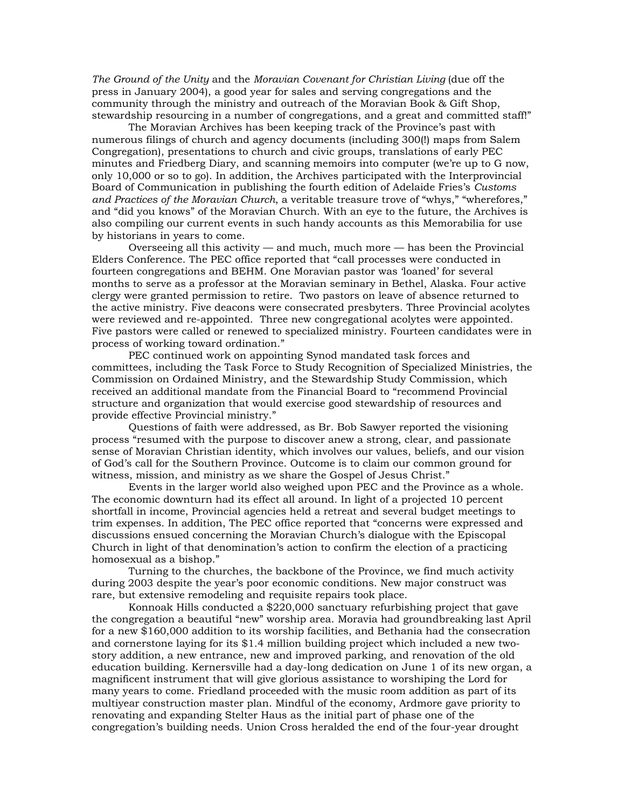*The Ground of the Unity* and the *Moravian Covenant for Christian Living* (due off the press in January 2004), a good year for sales and serving congregations and the community through the ministry and outreach of the Moravian Book & Gift Shop, stewardship resourcing in a number of congregations, and a great and committed staff!"

The Moravian Archives has been keeping track of the Province's past with numerous filings of church and agency documents (including 300(!) maps from Salem Congregation), presentations to church and civic groups, translations of early PEC minutes and Friedberg Diary, and scanning memoirs into computer (we're up to G now, only 10,000 or so to go). In addition, the Archives participated with the Interprovincial Board of Communication in publishing the fourth edition of Adelaide Fries's *Customs and Practices of the Moravian Church*, a veritable treasure trove of "whys," "wherefores," and "did you knows" of the Moravian Church. With an eye to the future, the Archives is also compiling our current events in such handy accounts as this Memorabilia for use by historians in years to come.

Overseeing all this activity — and much, much more — has been the Provincial Elders Conference. The PEC office reported that "call processes were conducted in fourteen congregations and BEHM. One Moravian pastor was 'loaned' for several months to serve as a professor at the Moravian seminary in Bethel, Alaska. Four active clergy were granted permission to retire. Two pastors on leave of absence returned to the active ministry. Five deacons were consecrated presbyters. Three Provincial acolytes were reviewed and re-appointed. Three new congregational acolytes were appointed. Five pastors were called or renewed to specialized ministry. Fourteen candidates were in process of working toward ordination."

PEC continued work on appointing Synod mandated task forces and committees, including the Task Force to Study Recognition of Specialized Ministries, the Commission on Ordained Ministry, and the Stewardship Study Commission, which received an additional mandate from the Financial Board to "recommend Provincial structure and organization that would exercise good stewardship of resources and provide effective Provincial ministry."

Questions of faith were addressed, as Br. Bob Sawyer reported the visioning process "resumed with the purpose to discover anew a strong, clear, and passionate sense of Moravian Christian identity, which involves our values, beliefs, and our vision of God's call for the Southern Province. Outcome is to claim our common ground for witness, mission, and ministry as we share the Gospel of Jesus Christ."

Events in the larger world also weighed upon PEC and the Province as a whole. The economic downturn had its effect all around. In light of a projected 10 percent shortfall in income, Provincial agencies held a retreat and several budget meetings to trim expenses. In addition, The PEC office reported that "concerns were expressed and discussions ensued concerning the Moravian Church's dialogue with the Episcopal Church in light of that denomination's action to confirm the election of a practicing homosexual as a bishop."

Turning to the churches, the backbone of the Province, we find much activity during 2003 despite the year's poor economic conditions. New major construct was rare, but extensive remodeling and requisite repairs took place.

Konnoak Hills conducted a \$220,000 sanctuary refurbishing project that gave the congregation a beautiful "new" worship area. Moravia had groundbreaking last April for a new \$160,000 addition to its worship facilities, and Bethania had the consecration and cornerstone laying for its \$1.4 million building project which included a new twostory addition, a new entrance, new and improved parking, and renovation of the old education building. Kernersville had a day-long dedication on June 1 of its new organ, a magnificent instrument that will give glorious assistance to worshiping the Lord for many years to come. Friedland proceeded with the music room addition as part of its multiyear construction master plan. Mindful of the economy, Ardmore gave priority to renovating and expanding Stelter Haus as the initial part of phase one of the congregation's building needs. Union Cross heralded the end of the four-year drought